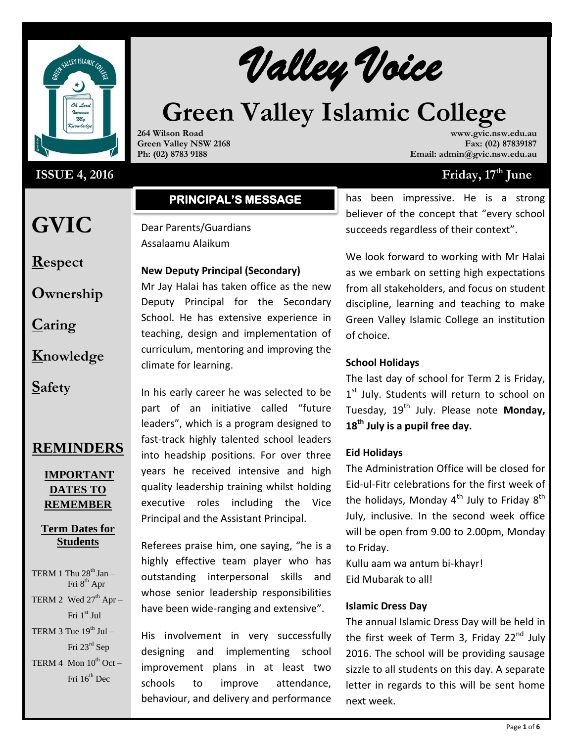

## **ISSUE 4, 2016**

Walley Voice

# **Green Valley Islamic College**

**264 Wilson Road Green Valley NSW 2168 Ph: (02) 8783 9188**

**www.gvic.nsw.edu.au Fax: (02) 87839187 Email: admin@gvic.nsw.edu.au**

## **Friday, 17<sup>th</sup> June**

## **PRINCIPAL'S MESSAGE**

Dear Parents/Guardians Assalaamu Alaikum

## **New Deputy Principal (Secondary)**

Mr Jay Halai has taken office as the new Deputy Principal for the Secondary School. He has extensive experience in teaching, design and implementation of curriculum, mentoring and improving the climate for learning.

**Respect**

**GVIC** 

**Ownership**

**Caring**

**Knowledge**

**Safety**

# **REMINDERS**

## **IMPORTANT DATES TO REMEMBER**

## **Term Dates for Students**

TERM 1 Thu  $28<sup>th</sup>$  Jan – Fri 8<sup>th</sup> Apr TERM 2 Wed  $27<sup>th</sup>$  Apr – Fri 1st Jul

TERM 3 Tue  $19^{th}$  Jul – Fri 23rd Sep

TERM 4 Mon  $10^{th}$  Oct – Fri  $16^{th}$  Dec

In his early career he was selected to be part of an initiative called "future leaders", which is a program designed to fast-track highly talented school leaders into headship positions. For over three years he received intensive and high quality leadership training whilst holding executive roles including the Vice Principal and the Assistant Principal.

Referees praise him, one saying, "he is a highly effective team player who has outstanding interpersonal skills and whose senior leadership responsibilities have been wide-ranging and extensive".

His involvement in very successfully designing and implementing school improvement plans in at least two schools to improve attendance, behaviour, and delivery and performance

has been impressive. He is a strong believer of the concept that "every school succeeds regardless of their context".

We look forward to working with Mr Halai as we embark on setting high expectations from all stakeholders, and focus on student discipline, learning and teaching to make Green Valley Islamic College an institution of choice.

## **School Holidays**

The last day of school for Term 2 is Friday, 1st July. Students will return to school on Tuesday, 19<sup>th</sup> July. Please note Monday, **18th July is a pupil free day.**

## **Eid Holidays**

The Administration Office will be closed for Eid-ul-Fitr celebrations for the first week of the holidays, Monday 4<sup>th</sup> July to Friday  $8^\text{th}$ July, inclusive. In the second week office will be open from 9.00 to 2.00pm, Monday to Friday.

Kullu aam wa antum bi-khayr! Eid Mubarak to all!

## **Islamic Dress Day**

The annual Islamic Dress Day will be held in the first week of Term 3, Friday 22<sup>nd</sup> July 2016. The school will be providing sausage sizzle to all students on this day. A separate letter in regards to this will be sent home next week.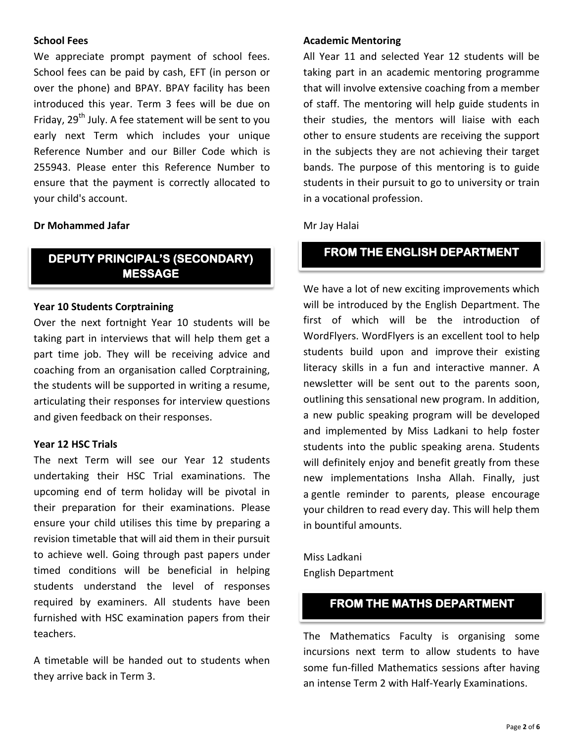## **School Fees**

We appreciate prompt payment of school fees. School fees can be paid by cash, EFT (in person or over the phone) and BPAY. BPAY facility has been introduced this year. Term 3 fees will be due on Friday, 29<sup>th</sup> July. A fee statement will be sent to you early next Term which includes your unique Reference Number and our Biller Code which is 255943. Please enter this Reference Number to ensure that the payment is correctly allocated to your child's account.

## **Dr Mohammed Jafar**

## **DEPUTY PRINCIPAL'S (SECONDARY) MESSAGE**

#### **Year 10 Students Corptraining**

Over the next fortnight Year 10 students will be taking part in interviews that will help them get a part time job. They will be receiving advice and coaching from an organisation called Corptraining, the students will be supported in writing a resume, articulating their responses for interview questions and given feedback on their responses.

## **Year 12 HSC Trials**

The next Term will see our Year 12 students undertaking their HSC Trial examinations. The upcoming end of term holiday will be pivotal in their preparation for their examinations. Please ensure your child utilises this time by preparing a revision timetable that will aid them in their pursuit to achieve well. Going through past papers under timed conditions will be beneficial in helping students understand the level of responses required by examiners. All students have been furnished with HSC examination papers from their teachers.

A timetable will be handed out to students when they arrive back in Term 3.

#### **Academic Mentoring**

All Year 11 and selected Year 12 students will be taking part in an academic mentoring programme that will involve extensive coaching from a member of staff. The mentoring will help guide students in their studies, the mentors will liaise with each other to ensure students are receiving the support in the subjects they are not achieving their target bands. The purpose of this mentoring is to guide students in their pursuit to go to university or train in a vocational profession.

#### Mr Jay Halai

## **FROM THE ENGLISH DEPARTMENT**

We have a lot of new exciting improvements which will be introduced by the English Department. The first of which will be the introduction of WordFlyers. WordFlyers is an excellent tool to help students build upon and improve their existing literacy skills in a fun and interactive manner. A newsletter will be sent out to the parents soon, outlining this sensational new program. In addition, a new public speaking program will be developed and implemented by Miss Ladkani to help foster students into the public speaking arena. Students will definitely enjoy and benefit greatly from these new implementations Insha Allah. Finally, just a gentle reminder to parents, please encourage your children to read every day. This will help them in bountiful amounts.

Miss Ladkani English Department

## **FROM THE MATHS DEPARTMENT**

The Mathematics Faculty is organising some incursions next term to allow students to have some fun-filled Mathematics sessions after having an intense Term 2 with Half-Yearly Examinations.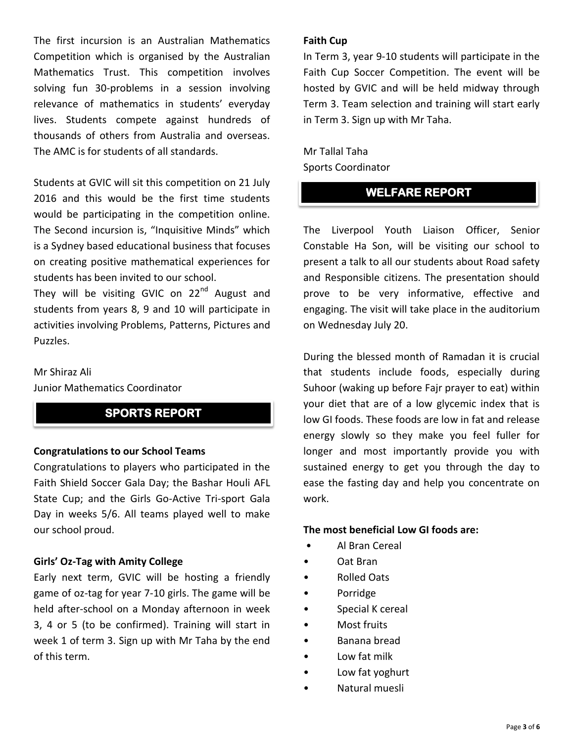The first incursion is an Australian Mathematics Competition which is organised by the Australian Mathematics Trust. This competition involves solving fun 30-problems in a session involving relevance of mathematics in students' everyday lives. Students compete against hundreds of thousands of others from Australia and overseas. The AMC is for students of all standards.

Students at GVIC will sit this competition on 21 July 2016 and this would be the first time students would be participating in the competition online. The Second incursion is, "Inquisitive Minds" which is a Sydney based educational business that focuses on creating positive mathematical experiences for students has been invited to our school.

They will be visiting GVIC on 22<sup>nd</sup> August and students from years 8, 9 and 10 will participate in activities involving Problems, Patterns, Pictures and Puzzles.

## Mr Shiraz Ali

Junior Mathematics Coordinator

## **SPORTS REPORT**

#### **Congratulations to our School Teams**

Congratulations to players who participated in the Faith Shield Soccer Gala Day; the Bashar Houli AFL State Cup; and the Girls Go-Active Tri-sport Gala Day in weeks 5/6. All teams played well to make our school proud.

#### **Girls' Oz-Tag with Amity College**

Early next term, GVIC will be hosting a friendly game of oz-tag for year 7-10 girls. The game will be held after-school on a Monday afternoon in week 3, 4 or 5 (to be confirmed). Training will start in week 1 of term 3. Sign up with Mr Taha by the end of this term.

#### **Faith Cup**

In Term 3, year 9-10 students will participate in the Faith Cup Soccer Competition. The event will be hosted by GVIC and will be held midway through Term 3. Team selection and training will start early in Term 3. Sign up with Mr Taha.

Mr Tallal Taha Sports Coordinator

## **WELFARE REPORT**

The Liverpool Youth Liaison Officer, Senior Constable Ha Son, will be visiting our school to present a talk to all our students about Road safety and Responsible citizens. The presentation should prove to be very informative, effective and engaging. The visit will take place in the auditorium on Wednesday July 20.

During the blessed month of Ramadan it is crucial that students include foods, especially during Suhoor (waking up before Fajr prayer to eat) within your diet that are of a low glycemic index that is low GI foods. These foods are low in fat and release energy slowly so they make you feel fuller for longer and most importantly provide you with sustained energy to get you through the day to ease the fasting day and help you concentrate on work.

#### **The most beneficial Low GI foods are:**

- Al Bran Cereal
- Oat Bran
- Rolled Oats
- Porridge
- Special K cereal
- Most fruits
- Banana bread
- Low fat milk
- Low fat yoghurt
- Natural muesli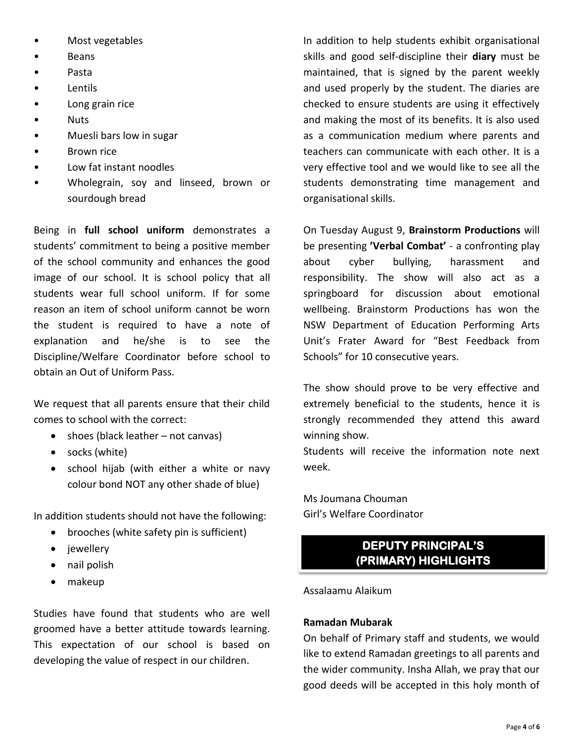- Most vegetables
- **Beans**
- Pasta
- **Lentils**
- Long grain rice
- Nuts
- Muesli bars low in sugar
- Brown rice
- Low fat instant noodles
- Wholegrain, soy and linseed, brown or sourdough bread

Being in **full school uniform** demonstrates a students' commitment to being a positive member of the school community and enhances the good image of our school. It is school policy that all students wear full school uniform. If for some reason an item of school uniform cannot be worn the student is required to have a note of explanation and he/she is to see the Discipline/Welfare Coordinator before school to obtain an Out of Uniform Pass.

We request that all parents ensure that their child comes to school with the correct:

- $\bullet$  shoes (black leather not canvas)
- socks (white)
- school hijab (with either a white or navy colour bond NOT any other shade of blue)

In addition students should not have the following:

- brooches (white safety pin is sufficient)
- jewellery
- nail polish
- makeup

Studies have found that students who are well groomed have a better attitude towards learning. This expectation of our school is based on developing the value of respect in our children.

In addition to help students exhibit organisational skills and good self-discipline their **diary** must be maintained, that is signed by the parent weekly and used properly by the student. The diaries are checked to ensure students are using it effectively and making the most of its benefits. It is also used as a communication medium where parents and teachers can communicate with each other. It is a very effective tool and we would like to see all the students demonstrating time management and organisational skills.

On Tuesday August 9, **Brainstorm Productions** will be presenting **'Verbal Combat'** - a confronting play about cyber bullying, harassment and responsibility. The show will also act as a springboard for discussion about emotional wellbeing. Brainstorm Productions has won the NSW Department of Education Performing Arts Unit's Frater Award for "Best Feedback from Schools" for 10 consecutive years.

The show should prove to be very effective and extremely beneficial to the students, hence it is strongly recommended they attend this award winning show.

Students will receive the information note next week.

Ms Joumana Chouman Girl's Welfare Coordinator

# **DEPUTY PRINCIPAL'S (PRIMARY) HIGHLIGHTS**

## Assalaamu Alaikum

## **Ramadan Mubarak**

On behalf of Primary staff and students, we would like to extend Ramadan greetings to all parents and the wider community. Insha Allah, we pray that our good deeds will be accepted in this holy month of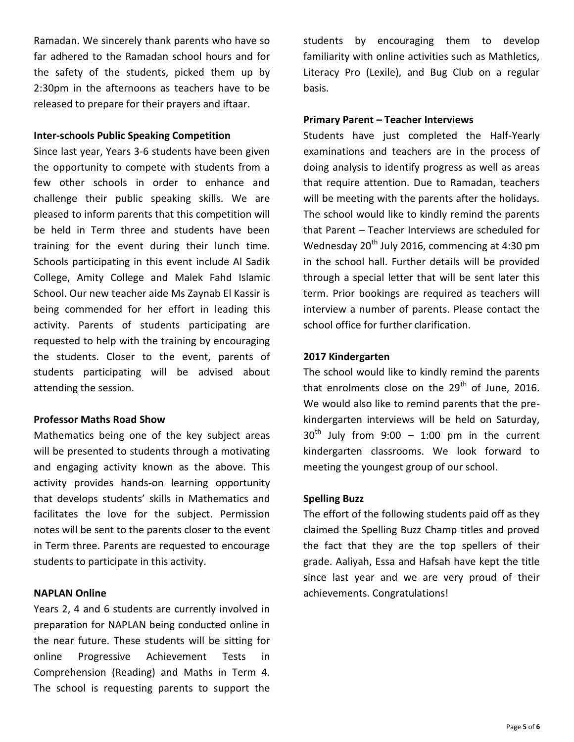Ramadan. We sincerely thank parents who have so far adhered to the Ramadan school hours and for the safety of the students, picked them up by 2:30pm in the afternoons as teachers have to be released to prepare for their prayers and iftaar.

#### **Inter-schools Public Speaking Competition**

Since last year, Years 3-6 students have been given the opportunity to compete with students from a few other schools in order to enhance and challenge their public speaking skills. We are pleased to inform parents that this competition will be held in Term three and students have been training for the event during their lunch time. Schools participating in this event include Al Sadik College, Amity College and Malek Fahd Islamic School. Our new teacher aide Ms Zaynab El Kassir is being commended for her effort in leading this activity. Parents of students participating are requested to help with the training by encouraging the students. Closer to the event, parents of students participating will be advised about attending the session.

## **Professor Maths Road Show**

Mathematics being one of the key subject areas will be presented to students through a motivating and engaging activity known as the above. This activity provides hands-on learning opportunity that develops students' skills in Mathematics and facilitates the love for the subject. Permission notes will be sent to the parents closer to the event in Term three. Parents are requested to encourage students to participate in this activity.

## **NAPLAN Online**

Years 2, 4 and 6 students are currently involved in preparation for NAPLAN being conducted online in the near future. These students will be sitting for online Progressive Achievement Tests in Comprehension (Reading) and Maths in Term 4. The school is requesting parents to support the

students by encouraging them to develop familiarity with online activities such as Mathletics, Literacy Pro (Lexile), and Bug Club on a regular basis.

#### **Primary Parent – Teacher Interviews**

Students have just completed the Half-Yearly examinations and teachers are in the process of doing analysis to identify progress as well as areas that require attention. Due to Ramadan, teachers will be meeting with the parents after the holidays. The school would like to kindly remind the parents that Parent – Teacher Interviews are scheduled for Wednesday  $20^{th}$  July 2016, commencing at 4:30 pm in the school hall. Further details will be provided through a special letter that will be sent later this term. Prior bookings are required as teachers will interview a number of parents. Please contact the school office for further clarification.

#### **2017 Kindergarten**

The school would like to kindly remind the parents that enrolments close on the  $29<sup>th</sup>$  of June, 2016. We would also like to remind parents that the prekindergarten interviews will be held on Saturday,  $30<sup>th</sup>$  July from 9:00 – 1:00 pm in the current kindergarten classrooms. We look forward to meeting the youngest group of our school.

#### **Spelling Buzz**

The effort of the following students paid off as they claimed the Spelling Buzz Champ titles and proved the fact that they are the top spellers of their grade. Aaliyah, Essa and Hafsah have kept the title since last year and we are very proud of their achievements. Congratulations!